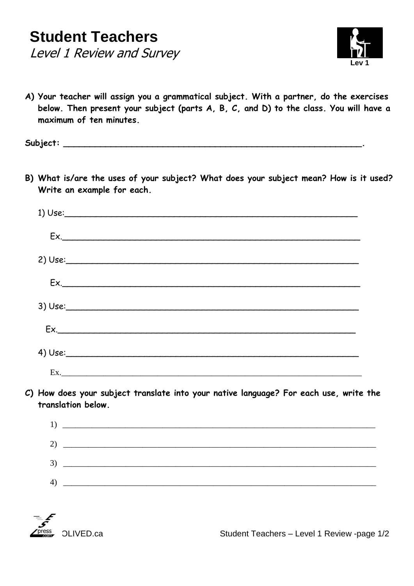

**A) Your teacher will assign you a grammatical subject. With a partner, do the exercises below. Then present your subject (parts A, B, C, and D) to the class. You will have a maximum of ten minutes.**

**Subject: \_\_\_\_\_\_\_\_\_\_\_\_\_\_\_\_\_\_\_\_\_\_\_\_\_\_\_\_\_\_\_\_\_\_\_\_\_\_\_\_\_\_\_\_\_\_\_\_\_\_\_\_\_\_\_\_\_.**

**B) What is/are the uses of your subject? What does your subject mean? How is it used? Write an example for each.**

| 1) Use: |  |  |
|---------|--|--|
| Ex.     |  |  |
|         |  |  |
|         |  |  |
| 3) Use: |  |  |
|         |  |  |
|         |  |  |
|         |  |  |

**C) How does your subject translate into your native language? For each use, write the translation below.**





OLIVED.ca Student Teachers – Level 1 Review -page 1/2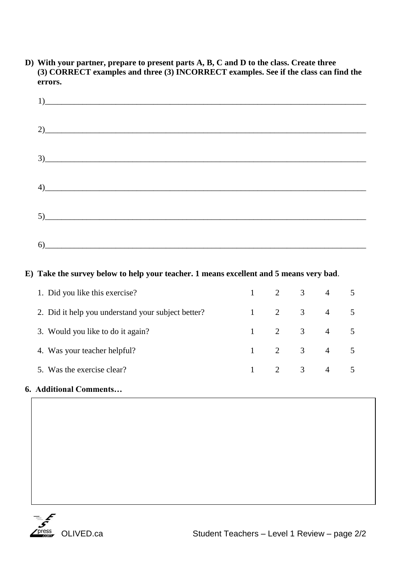**D) With your partner, prepare to present parts A, B, C and D to the class. Create three (3) CORRECT examples and three (3) INCORRECT examples. See if the class can find the errors.**

| 3)                                                                                                                                                                                                                                                                                                                                                                 |  |
|--------------------------------------------------------------------------------------------------------------------------------------------------------------------------------------------------------------------------------------------------------------------------------------------------------------------------------------------------------------------|--|
| $\left(4\right)$ and $\left(4\right)$ and $\left(4\right)$ and $\left(4\right)$ and $\left(4\right)$ and $\left(4\right)$ and $\left(4\right)$ and $\left(4\right)$ and $\left(4\right)$ and $\left(4\right)$ and $\left(4\right)$ and $\left(4\right)$ and $\left(4\right)$ and $\left(4\right)$ and $\left(4\right)$ and $\left(4\right)$ a                      |  |
| $5)$ and $\overline{0}$ and $\overline{0}$ and $\overline{0}$ and $\overline{0}$ and $\overline{0}$ and $\overline{0}$ and $\overline{0}$ and $\overline{0}$ and $\overline{0}$ and $\overline{0}$ and $\overline{0}$ and $\overline{0}$ and $\overline{0}$ and $\overline{0}$ and $\overline{0}$ and $\overline{0}$ and $\overline$                               |  |
| $\begin{picture}(60,10)(-6) \put(0,0){\vector(1,0){100}} \put(15,0){\vector(1,0){100}} \put(15,0){\vector(1,0){100}} \put(15,0){\vector(1,0){100}} \put(15,0){\vector(1,0){100}} \put(15,0){\vector(1,0){100}} \put(15,0){\vector(1,0){100}} \put(15,0){\vector(1,0){100}} \put(15,0){\vector(1,0){100}} \put(15,0){\vector(1,0){100}} \put(15,0){\vector(1,0){10$ |  |

## **E) Take the survey below to help your teacher. 1 means excellent and 5 means very bad**.

| 1. Did you like this exercise?                     |              | $1 \quad 2 \quad 3 \quad 4$ |         |  |
|----------------------------------------------------|--------------|-----------------------------|---------|--|
| 2. Did it help you understand your subject better? |              |                             | 2 3 4 5 |  |
| 3. Would you like to do it again?                  |              | 2 3 4 5                     |         |  |
| 4. Was your teacher helpful?                       | $\mathbf{1}$ | 2 3 4 5                     |         |  |
| 5. Was the exercise clear?                         |              | 2 3 4 5                     |         |  |
|                                                    |              |                             |         |  |

## **6. Additional Comments…**



OLIVED.ca Student Teachers – Level 1 Review – page 2/2